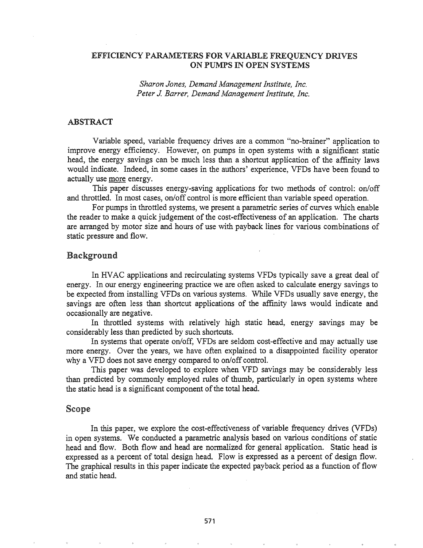# EFFICIENCY PARAMETERS FOR VARIABLE FREQUENCY DRIVES ON PUMPS IN OPEN SYSTEMS

*Sharon Jones, Demand Management Institute, Inc. Peter J. Barrer, Demand Management Institute, Inc.* 

# ABSTRACT

Variable speed, variable frequency drives are a common "no-brainer" application to improve energy efficiency. However, on pumps in open systems with a significant static head, the energy savings can be much less than a shortcut application of the affinity laws would indicate. Indeed, in some cases in the authors' experience, VFDs have been found to actually use more energy.

This paper discusses energy-saving applications for two methods of control: on/off and throttled. In most cases, on/off control is more efficient than variable speed operation.

For pumps in throttled systems, we present a parametric series of curves which enable the reader to make a quick judgement of the cost-effectiveness of an application. The charts are arranged by motor size and hours of use with payback lines for various combinations of static pressure and flow.

### Background

In HVAC applications and recirculating systems VFDs typically save a great deal of energy. In our energy engineering practice we are often asked to calculate energy savings to be expected from installing VFDs on various systems. While VFDs usually save energy, the savings are often less than shortcut applications of the affinity laws would indicate and occasionally are negative.

In throttled systems with relatively high static head, energy savings may be considerably less than predicted by such shortcuts.

In systems that operate on/off, VFDs are seldom cost-effective and may actually use more energy. Over the years, we have often explained to a disappointed facility operator why a VFD does not save energy compared to on/off control.

This paper was developed to explore when VFD savings may be considerably less than predicted by commonly employed rules of thumb, particularly in open systems where the static head is a significant component of the total head.

#### Scope

In this paper, we explore the cost-effectiveness of variable frequency drives (VFDs) in open systems. We conducted a parametric analysis based on various conditions of static head and flow. Both flow and head are normalized for general application. Static head is expressed as a percent of total design head. Flow is expressed as a percent of design flow. The graphical results in this paper indicate the expected payback period as a function of flow and static head.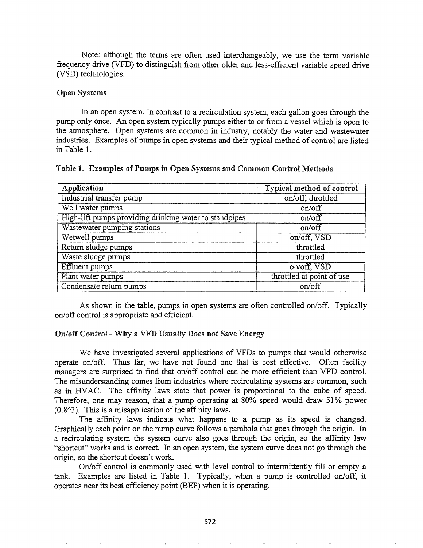Note: although the terms are often used interchangeably, we use the term variable frequency drive (VFD) to distinguish from other older and less-efficient variable speed drive (VSD) technologies.

## Open Systems

In an open system, in contrast to a recirculation system, each gallon goes through the pump only once. An open system typically pumps either to or from a vessel which is open to the atmosphere. Open systems are common in industry, notably the water and wastewater industries. Examples of pumps in open systems and their typical method of control are listed in Table 1.

# Table I. Examples of Pumps in Open Systems and Common Control Methods

| Application                                            | <b>Typical method of control</b> |
|--------------------------------------------------------|----------------------------------|
| Industrial transfer pump                               | on/off, throttled                |
| Well water pumps                                       | on/off                           |
| High-lift pumps providing drinking water to standpipes | on/off                           |
| Wastewater pumping stations                            | on/off                           |
| Wetwell pumps                                          | on/off, VSD                      |
| Return sludge pumps                                    | throttled                        |
| Waste sludge pumps                                     | throttled                        |
| <b>Effluent</b> pumps                                  | on/off, VSD                      |
| Plant water pumps                                      | throttled at point of use        |
| Condensate return pumps                                | on/off                           |

As shown in the table, pumps in open systems are often controlled on/off. Typically on/off control is appropriate and efficient.

### On/off Control - Why a VFD Usually Does not Save Energy

We have investigated several applications of VFDs to pumps that would otherwise operate on/off. Thus far, we have not found one that is cost effective. Often facility managers are surprised to find that on/off control can be more efficient than VFD control. The misunderstanding comes from industries where recirculating systems are common, such as in HVAC. The affinity laws state that power is proportional to the cube of speed. Therefore, one may reason, that a pump operating at 80% speed would draw 51% power  $(0.8<sup>1</sup>)$ . This is a misapplication of the affinity laws.

The affinity laws indicate what happens to a pump as its speed is changed. Graphically each point on the pump curve follows a parabola that goes through the origin. In a recirculating system the system curve also goes through the origin, so the affinity law "shortcut" works and is correct. In an open system, the system curve does not go through the origin, so the shortcut doesn't work.

On/off control is commonly used with level control to intermittently fill or empty a tank. Examples are listed in Table 1. Typically, when a pump is controlled on/off, it operates near its best efficiency point (BEP) when it is operating.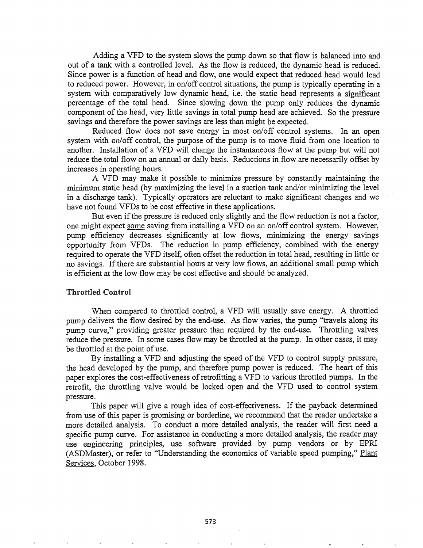Adding a VFD to the system slows the pump down so that flow is balanced into and out of a tank with a controlled level. As the flow is reduced, the dynamic head is reduced. Since power is a function of head and flow, one would expect that reduced head would lead to reduced power. However, in on/off control situations, the pump is typically operating in a system with comparatively low dynamic head, i.e. the static head represents a significant percentage of the total head. Since slowing down the pump only reduces the dynamic component of the head, very little savings in total pump head are achieved. So the pressure savings and therefore the power savings are less than might be expected.

Reduced flow does not save energy in most on/off control systems. In an open system with on/off control, the purpose of the pump is to move fluid from one location to another. Installation of a VFD will change the instantaneous flow at the pump but will not reduce the total flow on an annual or daily basis. Reductions in flow are necessarily offset by increases in operating hours.

A VPD may make it possible to minimize pressure by constantly maintaining the minimum static head (by maximizing the level in a suction tank and/or minimizing the level in a discharge tank). Typically operators are reluctant to make significant changes and we have not found VFDs to be cost effective in these applications.

But even if the pressure is reduced only slightly and the flow reduction is not a factor, one might expect some saving from installing a VFD on an on/off control system. However, pump efficiency decreases significantly at low flows, minimizing the energy savings opportunity from VFDs. The reduction in pump efficiency, combined with the energy required to operate the VFD itself, often offset the reduction in total head, resulting in little or no savings. Ifthere are substantial hours at very low flows, an additional small pump which is efficient at the low flow may be cost effective and should be analyzed.

#### Throttled Control

When compared to throttled control, a VFD will usually save energy. A throttled pump delivers the flow desired by the end-use. As flow varies, the pump "travels along its pump curve," providing greater pressure than required by the end-use. Throttling valves reduce the pressure. In some cases flow may be throttled at the pump. In other cases, it may be throttled at the point of use.

By installing a VFD and adjusting the speed of the VFD to control supply pressure, the head developed by the pump, and therefore pump power is reduced. The heart of this paper explores the cost-effectiveness of retrofitting a VFD to various throttled pumps. In the retrofit, the throttling valve would be locked open and the VPD used to control system pressure..

This paper will give a rough idea of cost-effectiveness. If the payback determined from use ofthis paper is promising or borderline, we recommend that the reader undertake a more detailed analysis.. To conduct a more detailed analysis, the reader will first need a specific pump curve. For assistance in conducting a more detailed analysis, the reader may use engineering principles, use software provided by pump vendors or by EPRI (ASDMaster), or refer to "Understanding the economics of variable speed pumping," Plant Services, October 1998.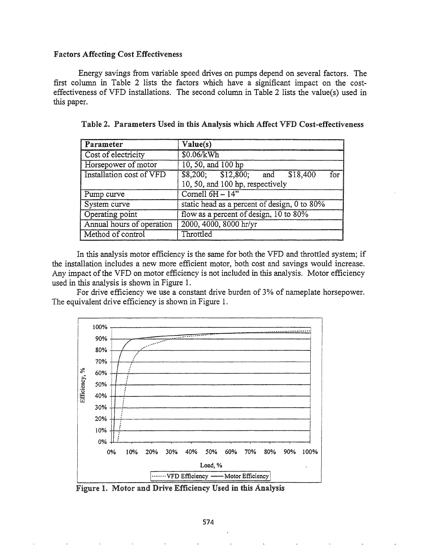### **Factors Affecting Cost Effectiveness**

Energy savings from variable speed drives on pumps depend on several factors. The first column in Table 2 lists the factors which have a significant impact on the costeffectiveness of VFD installations. The second column in Table 2 lists the value(s) used in this paper.

| Parameter                 | Value(s)                                                                      |  |
|---------------------------|-------------------------------------------------------------------------------|--|
| Cost of electricity       | \$0.06/kWh                                                                    |  |
| Horsepower of motor       | 10, 50, and 100 hp                                                            |  |
| Installation cost of VFD  | $$8,200;$ $$12,800;$ and $$18,400$<br>for<br>10, 50, and 100 hp, respectively |  |
| Pump curve                | Cornell $6H - 14$ "                                                           |  |
| System curve              | static head as a percent of design, 0 to 80%                                  |  |
| Operating point           | flow as a percent of design, 10 to 80%                                        |  |
| Annual hours of operation | 2000, 4000, 8000 hr/yr                                                        |  |
| Method of control         | Throttled                                                                     |  |

Table 2. Parameters Used in this Analysis which Affect VFD Cost-effectiveness

In this analysis motor efficiency is the same for both the VFD and throttled system; if the installation includes a new more efficient motor, both cost and savings would increase. Any impact of the VFD on motor efficiency is not included in this analysis. Motor efficiency used in this analysis is shown in Figure 1.

For drive efficiency we use a constant drive burden of 3% of nameplate horsepower. The equivalent drive efficiency is shown in Figure 1.



Figure 1. Motor and Drive Efficiency Used in this Analysis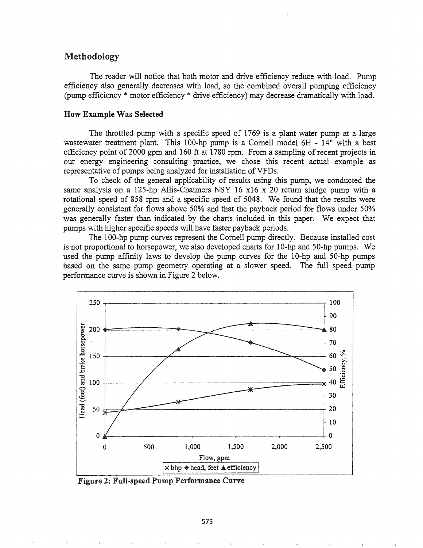# Methodology

The reader will notice that both motor and drive efficiency reduce with load. Pump efficiency also generally decreases with load, so the combined overall pumping efficiency (pump efficiency \* motor efficiency \* drive efficiency) may decrease dramatically with load.

## How Example Was Selected

The throttled pump with a specific speed of 1769 is a plant water pump at a large wastewater treatment plant. This 100-hp pump is a Cornell model 6H - 14" with a best efficiency point of 2000 gpm and 160 ft at 1780 rpm. From a sampling of recent projects in our energy engineering consulting practice, we chose this recent actual example as representative of pumps being analyzed for installation of VFDs.

To check of the general applicability of results using this pump, we conducted the same analysis on a 125-hp Allis-Chalmers NSY 16 x16 x 20 return sludge pump with a rotational speed of 858 rpm and a specific speed of 5048. We found that the results were generally consistent for flows above 50% and that the payback period for flows under 50% was generally faster than indicated by the charts included in this paper. We expect that pumps with higher specific speeds will have faster payback periods.

The 100-hp pump curves represent the Cornell pump directly. Because installed cost is not proportional to horsepower, we also developed charts for 10-hp and 50-hp pumps. We used the pump affinity laws to develop the pump curves for the 10-hp and 50-hp pumps based on the same pump geometry operating at a slower speed. The full speed pump performance curve is shown in Figure 2 below.



Figure 2: Full-speed Pump Performance Curve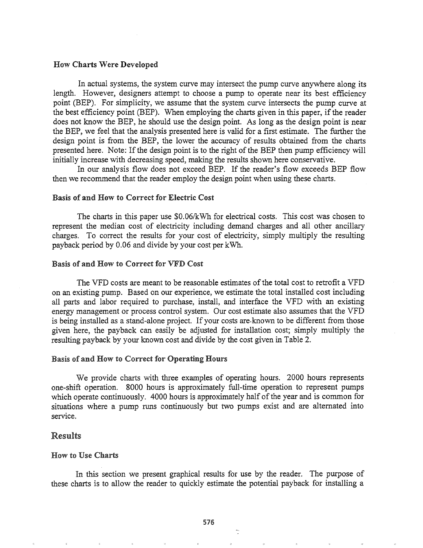#### How Charts Were Developed

In actual systems, the system curve may intersect the pump curve anywhere along its length. However, designers attempt to choose a pump to operate near its best efficiency point (BEP). For simplicity, we assume that the system curve intersects the pump curve at the best efficiency point (BEP). When employing the charts given in this paper, if the reader does not know the BEP, he should use the design point. As long as the design point is near the BEP, we feel that the analysis presented here is valid for a first estimate. The further the design point is from the BEP, the lower the accuracy of results obtained from the charts presented here. Note: If the design point is to the right of the BEP then pump efficiency will initially increase with decreasing speed, making the results shown here conservative.

In our analysis flow does not exceed BEP. If the reader's flow exceeds BEP flow then we recommend that the reader employ the design point when using these charts.

# Basis of and How to Correct for Electric Cost

The charts in this paper use \$0.06/kWh for electrical costs. This cost was chosen to represent the median cost of electricity including demand charges and all other ancillary charges. To correct the results for your cost of electricity, simply multiply the resulting payback period by 0.06 and divide by your cost per kWh.

### Basis of and How to Correct for VFD Cost

The VFD costs are meant to be reasonable estimates of the total cost to retrofit a VFD on an existing pump. Based on our experience, we estimate the total installed cost including all parts and labor required to purchase, install, and interface the VPD with an existing energy management or process control system. Our cost estimate also assumes that the VPD is being installed as a stand-alone project. If your costs are-known to be different from those given here, the payback can easily be adjusted for installation cost; simply multiply the resulting payback by your known cost and divide by the cost given in Table 2.

## Basis of and How to Correct for Operating Hours

We provide charts with three examples of operating hours. 2000 hours represents one-shift operation. 8000 hours is approximately full-time operation to represent pumps which operate continuously. 4000 hours is approximately half of the year and is common for situations where a pump runs continuously but two pumps exist and are alternated into service.

# Results

### **How to Use Charts**

In this section we present graphical results for use by the reader. The purpose of these charts is to allow the reader to quickly estimate the potential payback for installing a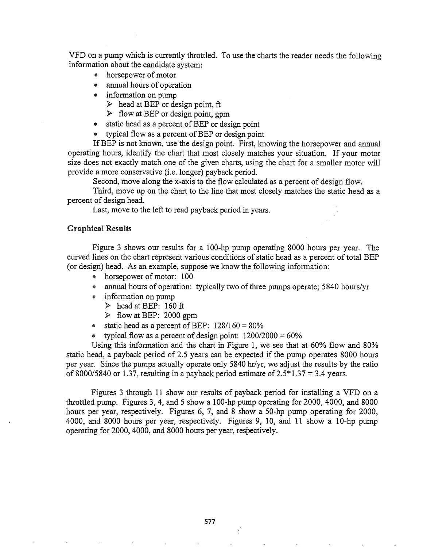VPD on a pump which is currently throttled. To use the charts the reader needs the following information about the candidate system:

- horsepower of motor
- annual hours of operation
- $\bullet$  information on pump
	- $\triangleright$  head at BEP or design point, ft
	- $\triangleright$  flow at BEP or design point, gpm
- static head as a percent of BEP or design point
- typical flow as a percent of BEP or design point

If BEP is not known, use the design point. First, knowing the horsepower and annual operating hours, identify the chart that most closely matches your situation. If your motor size does not exactly match one of the given charts, using the chart for a smaller motor will provide a more conservative (i.e. longer) payback period.

Second, move along the x-axis to the flow calculated as a percent of design flow.

Third, move up on the chart to the line that most closely matches the static head as a percent of design head.

Last, move to the left to read payback period in years.

### Graphical Results

Figure 3 shows our results for a 100-hp pump operating 8000 hours per year. The curved lines on the chart represent various conditions of static head as a percent of total BEP (or design) head. As an example, suppose we know the following information:

- horsepower of motor: 100
- annual hours of operation: typically two of three pumps operate; 5840 hours/yr
- .. information on pump
	- $\triangleright$  head at BEP: 160 ft
	- $\geq$  flow at BEP: 2000 gpm
- static head as a percent of BEP:  $128/160 = 80\%$
- typical flow as a percent of design point:  $1200/2000 = 60\%$

Using this information and the chart in Figure 1, we see that at 60% flow and 80% static head, a payback period of 2.5 years can be expected if the pump operates 8000 hours per year. Since the pumps actually operate only 5840 hr/yr, we adjust the results by the ratio of 8000/5840 or 1.37, resulting in a payback period estimate of  $2.5*1.37 = 3.4$  years.

Figures 3 through 11 show our results of payback period for installing a VFD on a throttled pump. Figures 3, 4, and 5 show a lOO-hp pump operating for 2000, 4000, and 8000 hours per year, respectively. Figures 6, 7, and 8 show a 50-hp pump operating for 2000, 4000, and 8000 hours per year, respectively. Figures 9, 10, and 11 show a 10-hp pump operating for 2000, 4000, and 8000 hours per year, respectively.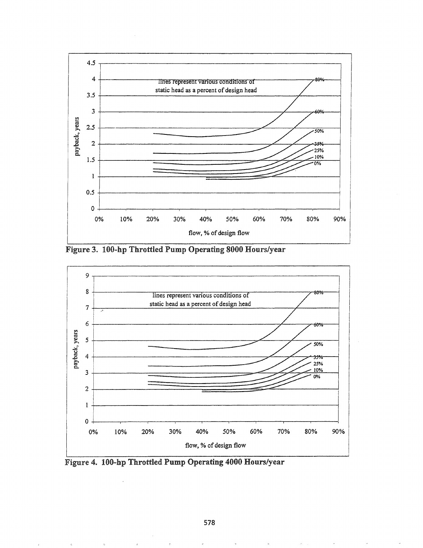

Figure 3. 100-hp Throttled Pump Operating 8000 Hours/year



Figure 4. 100-hp Throttled Pump Operating 4000 Hours/year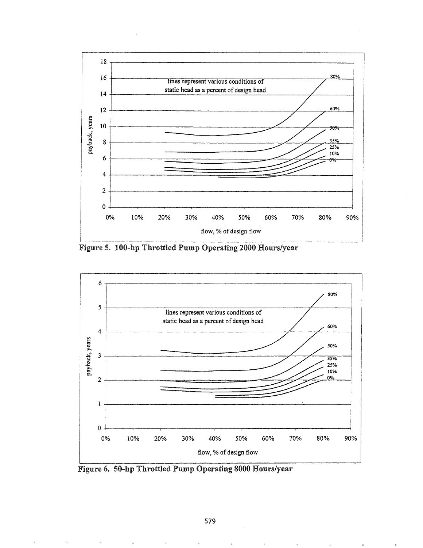

Figure 5. 100-hp Throttled Pump Operating 2000 Hours/year



Figure 6. 50-hp Throttled Pump Operating 8000 Hours/year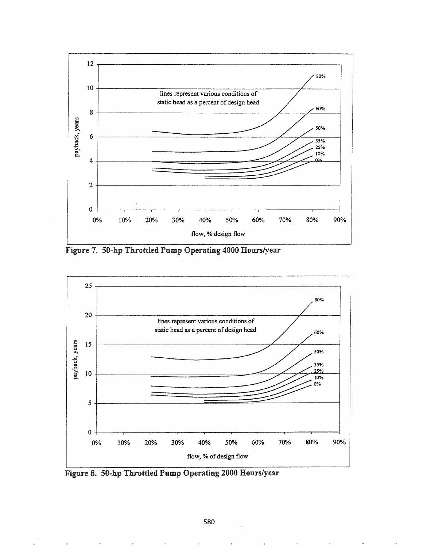

Figure 7. 50-hp Throttled Pump Operating 4000 Hours/year



Figure 8. 50-hp Throttled Pump Operating 2000 Hours/year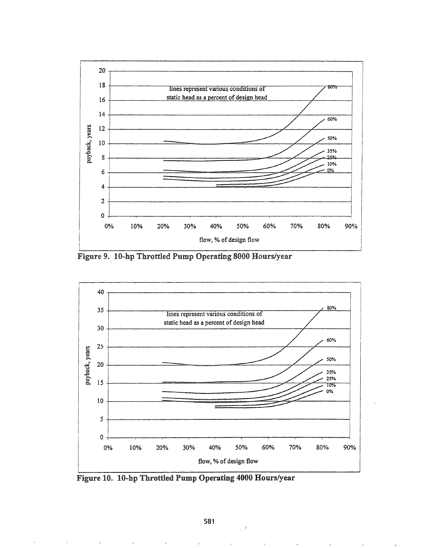

Figure 9. 10-hp Throttled Pump Operating 8000 Hours/year



Figure 10. 10-hp Throttled Pump Operating 4000 Hours/year

 $\cdot$  1